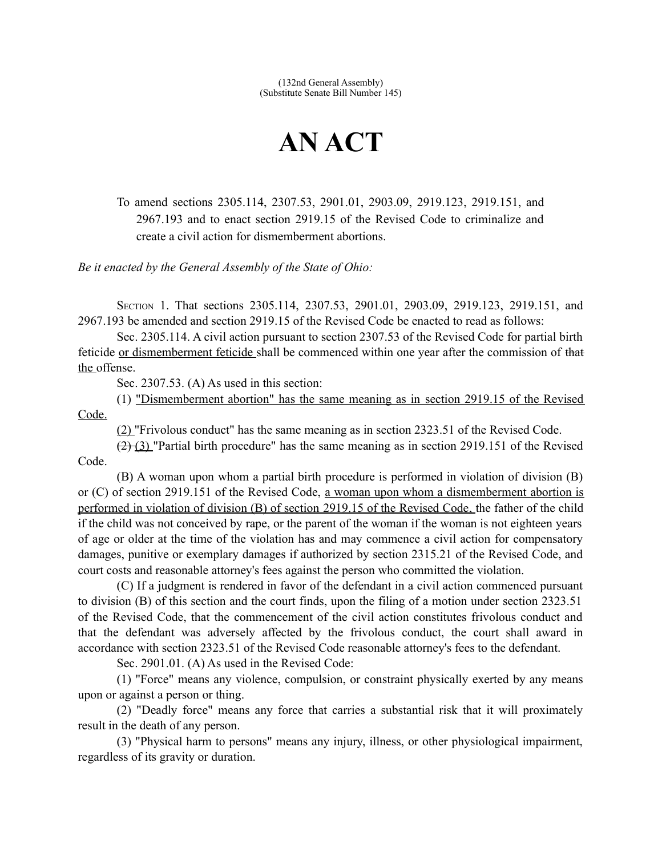(132nd General Assembly) (Substitute Senate Bill Number 145)

## **AN ACT**

To amend sections 2305.114, 2307.53, 2901.01, 2903.09, 2919.123, 2919.151, and 2967.193 and to enact section 2919.15 of the Revised Code to criminalize and create a civil action for dismemberment abortions.

*Be it enacted by the General Assembly of the State of Ohio:*

SECTION 1. That sections 2305.114, 2307.53, 2901.01, 2903.09, 2919.123, 2919.151, and 2967.193 be amended and section 2919.15 of the Revised Code be enacted to read as follows:

Sec. 2305.114. A civil action pursuant to section 2307.53 of the Revised Code for partial birth feticide or dismemberment feticide shall be commenced within one year after the commission of that the offense.

Sec. 2307.53. (A) As used in this section:

 $(1)$  "Dismemberment abortion" has the same meaning as in section 2919.15 of the Revised Code.

(2) "Frivolous conduct" has the same meaning as in section 2323.51 of the Revised Code.

 $(2)$  (3) "Partial birth procedure" has the same meaning as in section 2919.151 of the Revised Code.

(B) A woman upon whom a partial birth procedure is performed in violation of division (B) or (C) of section 2919.151 of the Revised Code, a woman upon whom a dismemberment abortion is performed in violation of division (B) of section 2919.15 of the Revised Code, the father of the child if the child was not conceived by rape, or the parent of the woman if the woman is not eighteen years of age or older at the time of the violation has and may commence a civil action for compensatory damages, punitive or exemplary damages if authorized by section 2315.21 of the Revised Code, and court costs and reasonable attorney's fees against the person who committed the violation.

(C) If a judgment is rendered in favor of the defendant in a civil action commenced pursuant to division (B) of this section and the court finds, upon the filing of a motion under section 2323.51 of the Revised Code, that the commencement of the civil action constitutes frivolous conduct and that the defendant was adversely affected by the frivolous conduct, the court shall award in accordance with section 2323.51 of the Revised Code reasonable attorney's fees to the defendant.

Sec. 2901.01. (A) As used in the Revised Code:

(1) "Force" means any violence, compulsion, or constraint physically exerted by any means upon or against a person or thing.

(2) "Deadly force" means any force that carries a substantial risk that it will proximately result in the death of any person.

(3) "Physical harm to persons" means any injury, illness, or other physiological impairment, regardless of its gravity or duration.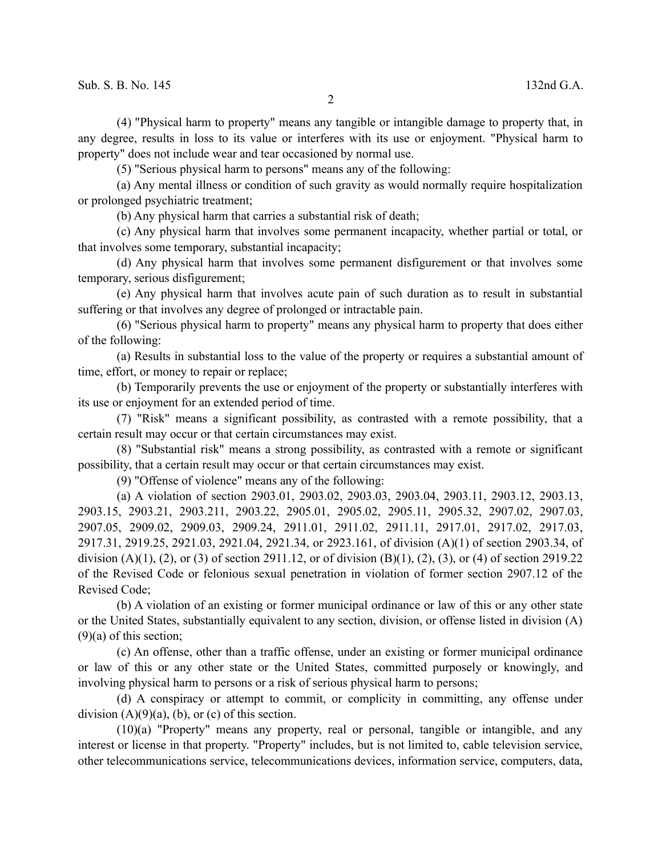(4) "Physical harm to property" means any tangible or intangible damage to property that, in any degree, results in loss to its value or interferes with its use or enjoyment. "Physical harm to property" does not include wear and tear occasioned by normal use.

(5) "Serious physical harm to persons" means any of the following:

(a) Any mental illness or condition of such gravity as would normally require hospitalization or prolonged psychiatric treatment;

(b) Any physical harm that carries a substantial risk of death;

(c) Any physical harm that involves some permanent incapacity, whether partial or total, or that involves some temporary, substantial incapacity;

(d) Any physical harm that involves some permanent disfigurement or that involves some temporary, serious disfigurement;

(e) Any physical harm that involves acute pain of such duration as to result in substantial suffering or that involves any degree of prolonged or intractable pain.

(6) "Serious physical harm to property" means any physical harm to property that does either of the following:

(a) Results in substantial loss to the value of the property or requires a substantial amount of time, effort, or money to repair or replace;

(b) Temporarily prevents the use or enjoyment of the property or substantially interferes with its use or enjoyment for an extended period of time.

(7) "Risk" means a significant possibility, as contrasted with a remote possibility, that a certain result may occur or that certain circumstances may exist.

(8) "Substantial risk" means a strong possibility, as contrasted with a remote or significant possibility, that a certain result may occur or that certain circumstances may exist.

(9) "Offense of violence" means any of the following:

(a) A violation of section 2903.01, 2903.02, 2903.03, 2903.04, 2903.11, 2903.12, 2903.13, 2903.15, 2903.21, 2903.211, 2903.22, 2905.01, 2905.02, 2905.11, 2905.32, 2907.02, 2907.03, 2907.05, 2909.02, 2909.03, 2909.24, 2911.01, 2911.02, 2911.11, 2917.01, 2917.02, 2917.03, 2917.31, 2919.25, 2921.03, 2921.04, 2921.34, or 2923.161, of division (A)(1) of section 2903.34, of division (A)(1), (2), or (3) of section 2911.12, or of division (B)(1), (2), (3), or (4) of section 2919.22 of the Revised Code or felonious sexual penetration in violation of former section 2907.12 of the Revised Code;

(b) A violation of an existing or former municipal ordinance or law of this or any other state or the United States, substantially equivalent to any section, division, or offense listed in division (A)  $(9)(a)$  of this section;

(c) An offense, other than a traffic offense, under an existing or former municipal ordinance or law of this or any other state or the United States, committed purposely or knowingly, and involving physical harm to persons or a risk of serious physical harm to persons;

(d) A conspiracy or attempt to commit, or complicity in committing, any offense under division  $(A)(9)(a)$ ,  $(b)$ , or  $(c)$  of this section.

(10)(a) "Property" means any property, real or personal, tangible or intangible, and any interest or license in that property. "Property" includes, but is not limited to, cable television service, other telecommunications service, telecommunications devices, information service, computers, data,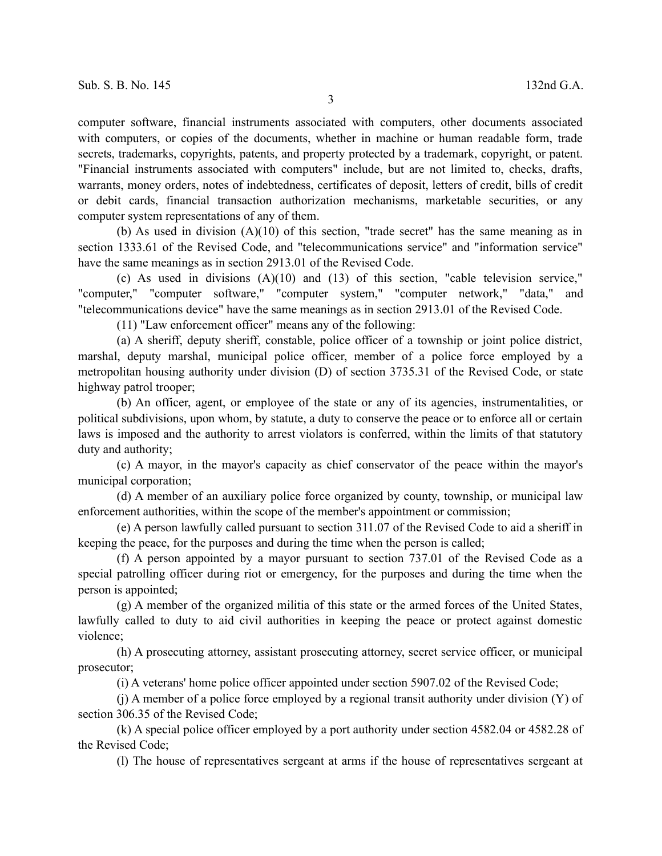computer software, financial instruments associated with computers, other documents associated with computers, or copies of the documents, whether in machine or human readable form, trade secrets, trademarks, copyrights, patents, and property protected by a trademark, copyright, or patent. "Financial instruments associated with computers" include, but are not limited to, checks, drafts, warrants, money orders, notes of indebtedness, certificates of deposit, letters of credit, bills of credit or debit cards, financial transaction authorization mechanisms, marketable securities, or any computer system representations of any of them.

(b) As used in division (A)(10) of this section, "trade secret" has the same meaning as in section 1333.61 of the Revised Code, and "telecommunications service" and "information service" have the same meanings as in section 2913.01 of the Revised Code.

(c) As used in divisions (A)(10) and (13) of this section, "cable television service," "computer," "computer software," "computer system," "computer network," "data," and "telecommunications device" have the same meanings as in section 2913.01 of the Revised Code.

(11) "Law enforcement officer" means any of the following:

(a) A sheriff, deputy sheriff, constable, police officer of a township or joint police district, marshal, deputy marshal, municipal police officer, member of a police force employed by a metropolitan housing authority under division (D) of section 3735.31 of the Revised Code, or state highway patrol trooper;

(b) An officer, agent, or employee of the state or any of its agencies, instrumentalities, or political subdivisions, upon whom, by statute, a duty to conserve the peace or to enforce all or certain laws is imposed and the authority to arrest violators is conferred, within the limits of that statutory duty and authority;

(c) A mayor, in the mayor's capacity as chief conservator of the peace within the mayor's municipal corporation;

(d) A member of an auxiliary police force organized by county, township, or municipal law enforcement authorities, within the scope of the member's appointment or commission;

(e) A person lawfully called pursuant to section 311.07 of the Revised Code to aid a sheriff in keeping the peace, for the purposes and during the time when the person is called;

(f) A person appointed by a mayor pursuant to section 737.01 of the Revised Code as a special patrolling officer during riot or emergency, for the purposes and during the time when the person is appointed;

(g) A member of the organized militia of this state or the armed forces of the United States, lawfully called to duty to aid civil authorities in keeping the peace or protect against domestic violence;

(h) A prosecuting attorney, assistant prosecuting attorney, secret service officer, or municipal prosecutor;

(i) A veterans' home police officer appointed under section 5907.02 of the Revised Code;

(j) A member of a police force employed by a regional transit authority under division (Y) of section 306.35 of the Revised Code;

(k) A special police officer employed by a port authority under section 4582.04 or 4582.28 of the Revised Code;

(l) The house of representatives sergeant at arms if the house of representatives sergeant at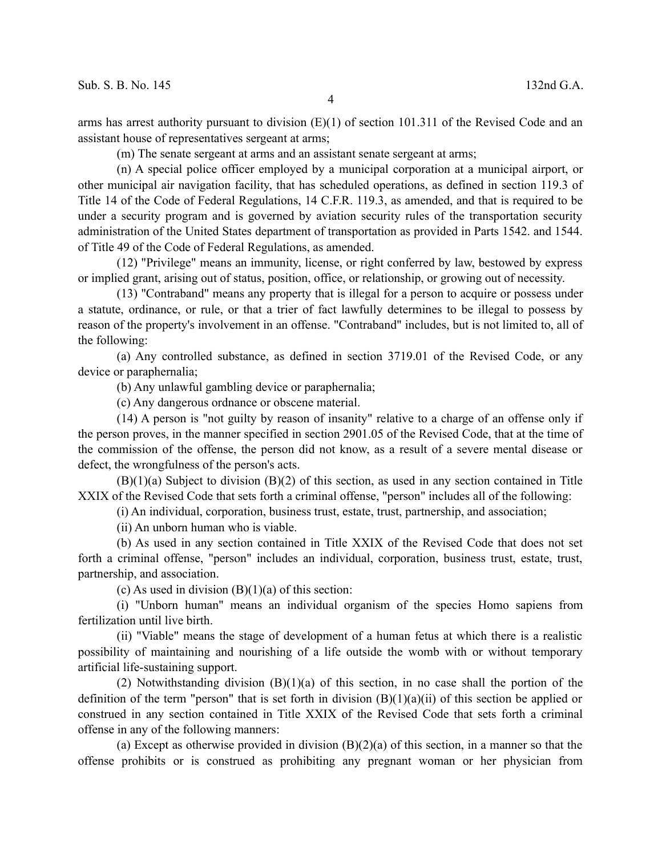arms has arrest authority pursuant to division  $(E)(1)$  of section 101.311 of the Revised Code and an assistant house of representatives sergeant at arms;

4

(m) The senate sergeant at arms and an assistant senate sergeant at arms;

(n) A special police officer employed by a municipal corporation at a municipal airport, or other municipal air navigation facility, that has scheduled operations, as defined in section 119.3 of Title 14 of the Code of Federal Regulations, 14 C.F.R. 119.3, as amended, and that is required to be under a security program and is governed by aviation security rules of the transportation security administration of the United States department of transportation as provided in Parts 1542. and 1544. of Title 49 of the Code of Federal Regulations, as amended.

(12) "Privilege" means an immunity, license, or right conferred by law, bestowed by express or implied grant, arising out of status, position, office, or relationship, or growing out of necessity.

(13) "Contraband" means any property that is illegal for a person to acquire or possess under a statute, ordinance, or rule, or that a trier of fact lawfully determines to be illegal to possess by reason of the property's involvement in an offense. "Contraband" includes, but is not limited to, all of the following:

(a) Any controlled substance, as defined in section 3719.01 of the Revised Code, or any device or paraphernalia;

(b) Any unlawful gambling device or paraphernalia;

(c) Any dangerous ordnance or obscene material.

(14) A person is "not guilty by reason of insanity" relative to a charge of an offense only if the person proves, in the manner specified in section 2901.05 of the Revised Code, that at the time of the commission of the offense, the person did not know, as a result of a severe mental disease or defect, the wrongfulness of the person's acts.

(B)(1)(a) Subject to division (B)(2) of this section, as used in any section contained in Title XXIX of the Revised Code that sets forth a criminal offense, "person" includes all of the following:

(i) An individual, corporation, business trust, estate, trust, partnership, and association;

(ii) An unborn human who is viable.

(b) As used in any section contained in Title XXIX of the Revised Code that does not set forth a criminal offense, "person" includes an individual, corporation, business trust, estate, trust, partnership, and association.

 $(c)$  As used in division  $(B)(1)(a)$  of this section:

(i) "Unborn human" means an individual organism of the species Homo sapiens from fertilization until live birth.

(ii) "Viable" means the stage of development of a human fetus at which there is a realistic possibility of maintaining and nourishing of a life outside the womb with or without temporary artificial life-sustaining support.

(2) Notwithstanding division (B)(1)(a) of this section, in no case shall the portion of the definition of the term "person" that is set forth in division  $(B)(1)(a)(ii)$  of this section be applied or construed in any section contained in Title XXIX of the Revised Code that sets forth a criminal offense in any of the following manners:

(a) Except as otherwise provided in division  $(B)(2)(a)$  of this section, in a manner so that the offense prohibits or is construed as prohibiting any pregnant woman or her physician from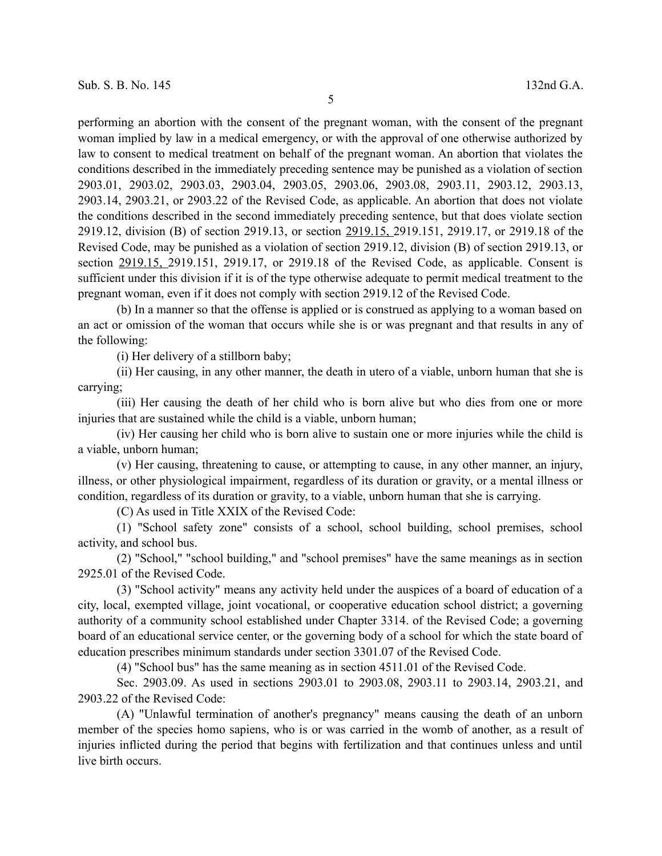performing an abortion with the consent of the pregnant woman, with the consent of the pregnant woman implied by law in a medical emergency, or with the approval of one otherwise authorized by law to consent to medical treatment on behalf of the pregnant woman. An abortion that violates the conditions described in the immediately preceding sentence may be punished as a violation of section 2903.01, 2903.02, 2903.03, 2903.04, 2903.05, 2903.06, 2903.08, 2903.11, 2903.12, 2903.13, 2903.14, 2903.21, or 2903.22 of the Revised Code, as applicable. An abortion that does not violate the conditions described in the second immediately preceding sentence, but that does violate section 2919.12, division (B) of section 2919.13, or section 2919.15, 2919.151, 2919.17, or 2919.18 of the Revised Code, may be punished as a violation of section 2919.12, division (B) of section 2919.13, or section 2919.15, 2919.151, 2919.17, or 2919.18 of the Revised Code, as applicable. Consent is sufficient under this division if it is of the type otherwise adequate to permit medical treatment to the pregnant woman, even if it does not comply with section 2919.12 of the Revised Code.

(b) In a manner so that the offense is applied or is construed as applying to a woman based on an act or omission of the woman that occurs while she is or was pregnant and that results in any of the following:

(i) Her delivery of a stillborn baby;

(ii) Her causing, in any other manner, the death in utero of a viable, unborn human that she is carrying;

(iii) Her causing the death of her child who is born alive but who dies from one or more injuries that are sustained while the child is a viable, unborn human;

(iv) Her causing her child who is born alive to sustain one or more injuries while the child is a viable, unborn human;

(v) Her causing, threatening to cause, or attempting to cause, in any other manner, an injury, illness, or other physiological impairment, regardless of its duration or gravity, or a mental illness or condition, regardless of its duration or gravity, to a viable, unborn human that she is carrying.

(C) As used in Title XXIX of the Revised Code:

(1) "School safety zone" consists of a school, school building, school premises, school activity, and school bus.

(2) "School," "school building," and "school premises" have the same meanings as in section 2925.01 of the Revised Code.

(3) "School activity" means any activity held under the auspices of a board of education of a city, local, exempted village, joint vocational, or cooperative education school district; a governing authority of a community school established under Chapter 3314. of the Revised Code; a governing board of an educational service center, or the governing body of a school for which the state board of education prescribes minimum standards under section 3301.07 of the Revised Code.

(4) "School bus" has the same meaning as in section 4511.01 of the Revised Code.

Sec. 2903.09. As used in sections 2903.01 to 2903.08, 2903.11 to 2903.14, 2903.21, and 2903.22 of the Revised Code:

(A) "Unlawful termination of another's pregnancy" means causing the death of an unborn member of the species homo sapiens, who is or was carried in the womb of another, as a result of injuries inflicted during the period that begins with fertilization and that continues unless and until live birth occurs.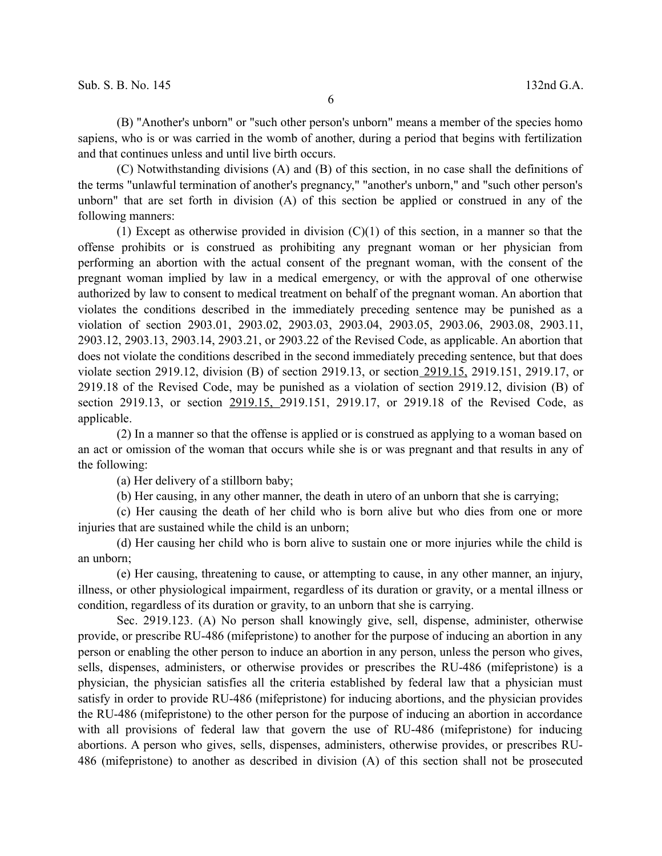(B) "Another's unborn" or "such other person's unborn" means a member of the species homo sapiens, who is or was carried in the womb of another, during a period that begins with fertilization and that continues unless and until live birth occurs.

(C) Notwithstanding divisions (A) and (B) of this section, in no case shall the definitions of the terms "unlawful termination of another's pregnancy," "another's unborn," and "such other person's unborn" that are set forth in division (A) of this section be applied or construed in any of the following manners:

(1) Except as otherwise provided in division  $(C)(1)$  of this section, in a manner so that the offense prohibits or is construed as prohibiting any pregnant woman or her physician from performing an abortion with the actual consent of the pregnant woman, with the consent of the pregnant woman implied by law in a medical emergency, or with the approval of one otherwise authorized by law to consent to medical treatment on behalf of the pregnant woman. An abortion that violates the conditions described in the immediately preceding sentence may be punished as a violation of section 2903.01, 2903.02, 2903.03, 2903.04, 2903.05, 2903.06, 2903.08, 2903.11, 2903.12, 2903.13, 2903.14, 2903.21, or 2903.22 of the Revised Code, as applicable. An abortion that does not violate the conditions described in the second immediately preceding sentence, but that does violate section 2919.12, division (B) of section 2919.13, or section 2919.15, 2919.151, 2919.17, or 2919.18 of the Revised Code, may be punished as a violation of section 2919.12, division (B) of section 2919.13, or section 2919.15, 2919.151, 2919.17, or 2919.18 of the Revised Code, as applicable.

(2) In a manner so that the offense is applied or is construed as applying to a woman based on an act or omission of the woman that occurs while she is or was pregnant and that results in any of the following:

(a) Her delivery of a stillborn baby;

(b) Her causing, in any other manner, the death in utero of an unborn that she is carrying;

(c) Her causing the death of her child who is born alive but who dies from one or more injuries that are sustained while the child is an unborn;

(d) Her causing her child who is born alive to sustain one or more injuries while the child is an unborn;

(e) Her causing, threatening to cause, or attempting to cause, in any other manner, an injury, illness, or other physiological impairment, regardless of its duration or gravity, or a mental illness or condition, regardless of its duration or gravity, to an unborn that she is carrying.

Sec. 2919.123. (A) No person shall knowingly give, sell, dispense, administer, otherwise provide, or prescribe RU-486 (mifepristone) to another for the purpose of inducing an abortion in any person or enabling the other person to induce an abortion in any person, unless the person who gives, sells, dispenses, administers, or otherwise provides or prescribes the RU-486 (mifepristone) is a physician, the physician satisfies all the criteria established by federal law that a physician must satisfy in order to provide RU-486 (mifepristone) for inducing abortions, and the physician provides the RU-486 (mifepristone) to the other person for the purpose of inducing an abortion in accordance with all provisions of federal law that govern the use of RU-486 (mifepristone) for inducing abortions. A person who gives, sells, dispenses, administers, otherwise provides, or prescribes RU-486 (mifepristone) to another as described in division (A) of this section shall not be prosecuted

6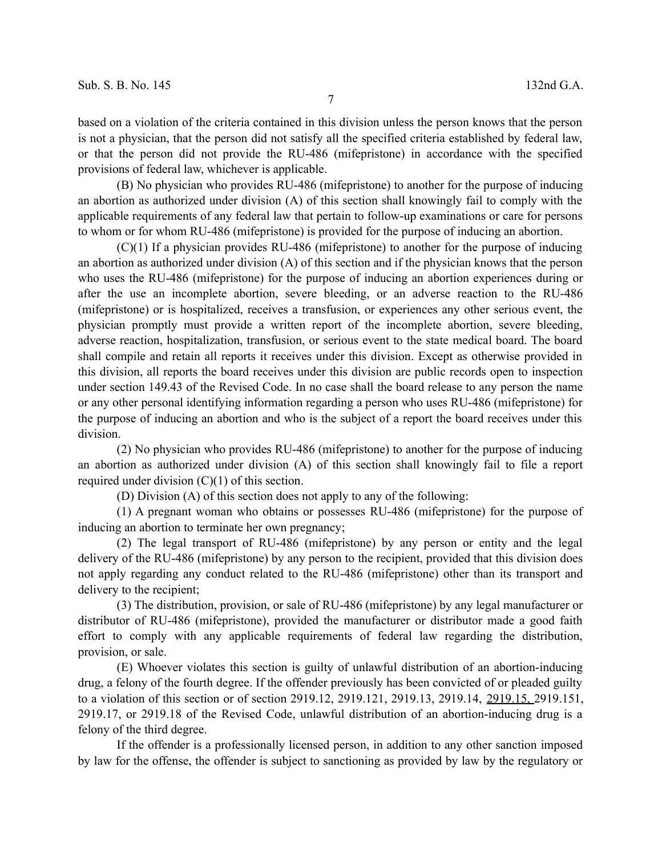7

based on a violation of the criteria contained in this division unless the person knows that the person is not a physician, that the person did not satisfy all the specified criteria established by federal law, or that the person did not provide the RU-486 (mifepristone) in accordance with the specified provisions of federal law, whichever is applicable.

(B) No physician who provides RU-486 (mifepristone) to another for the purpose of inducing an abortion as authorized under division (A) of this section shall knowingly fail to comply with the applicable requirements of any federal law that pertain to follow-up examinations or care for persons to whom or for whom RU-486 (mifepristone) is provided for the purpose of inducing an abortion.

(C)(1) If a physician provides RU-486 (mifepristone) to another for the purpose of inducing an abortion as authorized under division (A) of this section and if the physician knows that the person who uses the RU-486 (mifepristone) for the purpose of inducing an abortion experiences during or after the use an incomplete abortion, severe bleeding, or an adverse reaction to the RU-486 (mifepristone) or is hospitalized, receives a transfusion, or experiences any other serious event, the physician promptly must provide a written report of the incomplete abortion, severe bleeding, adverse reaction, hospitalization, transfusion, or serious event to the state medical board. The board shall compile and retain all reports it receives under this division. Except as otherwise provided in this division, all reports the board receives under this division are public records open to inspection under section 149.43 of the Revised Code. In no case shall the board release to any person the name or any other personal identifying information regarding a person who uses RU-486 (mifepristone) for the purpose of inducing an abortion and who is the subject of a report the board receives under this division.

(2) No physician who provides RU-486 (mifepristone) to another for the purpose of inducing an abortion as authorized under division (A) of this section shall knowingly fail to file a report required under division (C)(1) of this section.

(D) Division (A) of this section does not apply to any of the following:

(1) A pregnant woman who obtains or possesses RU-486 (mifepristone) for the purpose of inducing an abortion to terminate her own pregnancy;

(2) The legal transport of RU-486 (mifepristone) by any person or entity and the legal delivery of the RU-486 (mifepristone) by any person to the recipient, provided that this division does not apply regarding any conduct related to the RU-486 (mifepristone) other than its transport and delivery to the recipient;

(3) The distribution, provision, or sale of RU-486 (mifepristone) by any legal manufacturer or distributor of RU-486 (mifepristone), provided the manufacturer or distributor made a good faith effort to comply with any applicable requirements of federal law regarding the distribution, provision, or sale.

(E) Whoever violates this section is guilty of unlawful distribution of an abortion-inducing drug, a felony of the fourth degree. If the offender previously has been convicted of or pleaded guilty to a violation of this section or of section 2919.12, 2919.121, 2919.13, 2919.14, 2919.15, 2919.151, 2919.17, or 2919.18 of the Revised Code, unlawful distribution of an abortion-inducing drug is a felony of the third degree.

If the offender is a professionally licensed person, in addition to any other sanction imposed by law for the offense, the offender is subject to sanctioning as provided by law by the regulatory or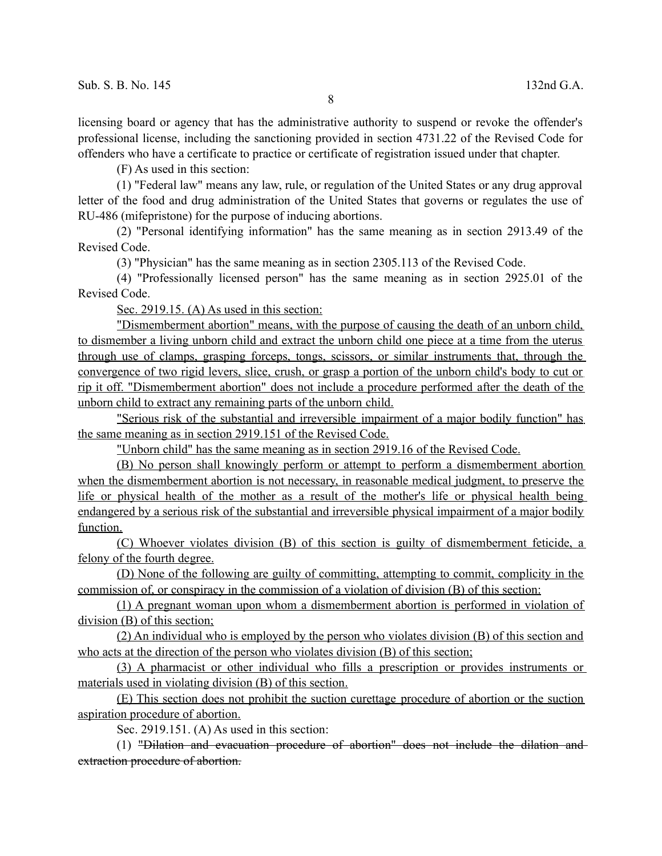licensing board or agency that has the administrative authority to suspend or revoke the offender's professional license, including the sanctioning provided in section 4731.22 of the Revised Code for offenders who have a certificate to practice or certificate of registration issued under that chapter.

(F) As used in this section:

(1) "Federal law" means any law, rule, or regulation of the United States or any drug approval letter of the food and drug administration of the United States that governs or regulates the use of RU-486 (mifepristone) for the purpose of inducing abortions.

(2) "Personal identifying information" has the same meaning as in section 2913.49 of the Revised Code.

(3) "Physician" has the same meaning as in section 2305.113 of the Revised Code.

(4) "Professionally licensed person" has the same meaning as in section 2925.01 of the Revised Code.

Sec. 2919.15. (A) As used in this section:

"Dismemberment abortion" means, with the purpose of causing the death of an unborn child, to dismember a living unborn child and extract the unborn child one piece at a time from the uterus through use of clamps, grasping forceps, tongs, scissors, or similar instruments that, through the convergence of two rigid levers, slice, crush, or grasp a portion of the unborn child's body to cut or rip it off. "Dismemberment abortion" does not include a procedure performed after the death of the unborn child to extract any remaining parts of the unborn child.

"Serious risk of the substantial and irreversible impairment of a major bodily function" has the same meaning as in section 2919.151 of the Revised Code.

"Unborn child" has the same meaning as in section 2919.16 of the Revised Code.

(B) No person shall knowingly perform or attempt to perform a dismemberment abortion when the dismemberment abortion is not necessary, in reasonable medical judgment, to preserve the life or physical health of the mother as a result of the mother's life or physical health being endangered by a serious risk of the substantial and irreversible physical impairment of a major bodily function.

 (C) Whoever violates division (B) of this section is guilty of dismemberment feticide, a felony of the fourth degree.

 (D) None of the following are guilty of committing, attempting to commit, complicity in the commission of, or conspiracy in the commission of a violation of division (B) of this section:

 (1) A pregnant woman upon whom a dismemberment abortion is performed in violation of division (B) of this section;

 (2) An individual who is employed by the person who violates division (B) of this section and who acts at the direction of the person who violates division (B) of this section;

(3) A pharmacist or other individual who fills a prescription or provides instruments or materials used in violating division (B) of this section.

 (E) This section does not prohibit the suction curettage procedure of abortion or the suction aspiration procedure of abortion.

Sec. 2919.151. (A) As used in this section:

(1) "Dilation and evacuation procedure of abortion" does not include the dilation and extraction procedure of abortion.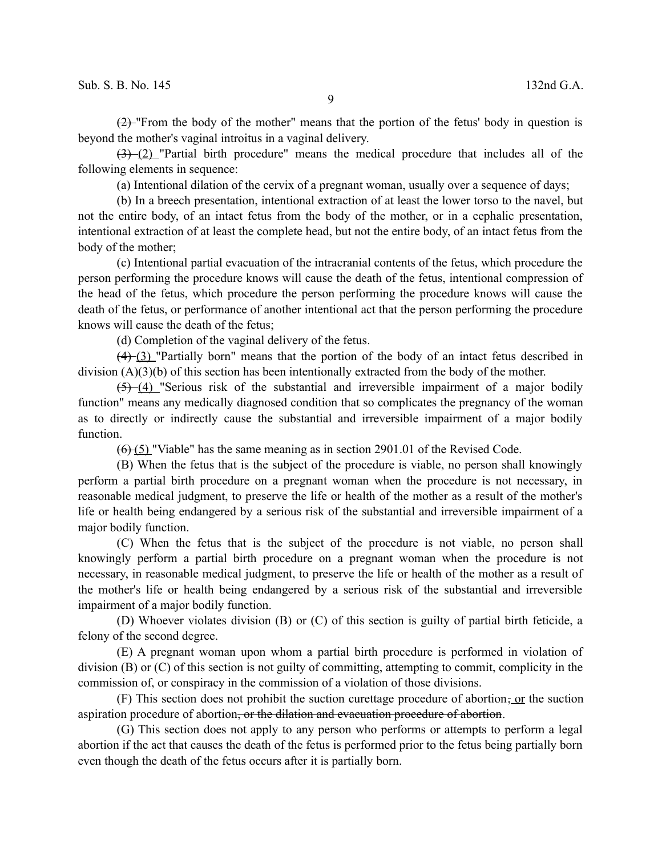$(2)$  "From the body of the mother" means that the portion of the fetus' body in question is beyond the mother's vaginal introitus in a vaginal delivery.

 $(3)$  (2) "Partial birth procedure" means the medical procedure that includes all of the following elements in sequence:

(a) Intentional dilation of the cervix of a pregnant woman, usually over a sequence of days;

(b) In a breech presentation, intentional extraction of at least the lower torso to the navel, but not the entire body, of an intact fetus from the body of the mother, or in a cephalic presentation, intentional extraction of at least the complete head, but not the entire body, of an intact fetus from the body of the mother;

(c) Intentional partial evacuation of the intracranial contents of the fetus, which procedure the person performing the procedure knows will cause the death of the fetus, intentional compression of the head of the fetus, which procedure the person performing the procedure knows will cause the death of the fetus, or performance of another intentional act that the person performing the procedure knows will cause the death of the fetus;

(d) Completion of the vaginal delivery of the fetus.

 $(4)$  (3) "Partially born" means that the portion of the body of an intact fetus described in division (A)(3)(b) of this section has been intentionally extracted from the body of the mother.

 $(5)$  (4) "Serious risk of the substantial and irreversible impairment of a major bodily function" means any medically diagnosed condition that so complicates the pregnancy of the woman as to directly or indirectly cause the substantial and irreversible impairment of a major bodily function.

 $(6)$  (5) "Viable" has the same meaning as in section 2901.01 of the Revised Code.

(B) When the fetus that is the subject of the procedure is viable, no person shall knowingly perform a partial birth procedure on a pregnant woman when the procedure is not necessary, in reasonable medical judgment, to preserve the life or health of the mother as a result of the mother's life or health being endangered by a serious risk of the substantial and irreversible impairment of a major bodily function.

(C) When the fetus that is the subject of the procedure is not viable, no person shall knowingly perform a partial birth procedure on a pregnant woman when the procedure is not necessary, in reasonable medical judgment, to preserve the life or health of the mother as a result of the mother's life or health being endangered by a serious risk of the substantial and irreversible impairment of a major bodily function.

(D) Whoever violates division (B) or (C) of this section is guilty of partial birth feticide, a felony of the second degree.

(E) A pregnant woman upon whom a partial birth procedure is performed in violation of division (B) or (C) of this section is not guilty of committing, attempting to commit, complicity in the commission of, or conspiracy in the commission of a violation of those divisions.

(F) This section does not prohibit the suction curettage procedure of abortion, or the suction aspiration procedure of abortion<del>, or the dilation and evacuation procedure of abortion</del>.

(G) This section does not apply to any person who performs or attempts to perform a legal abortion if the act that causes the death of the fetus is performed prior to the fetus being partially born even though the death of the fetus occurs after it is partially born.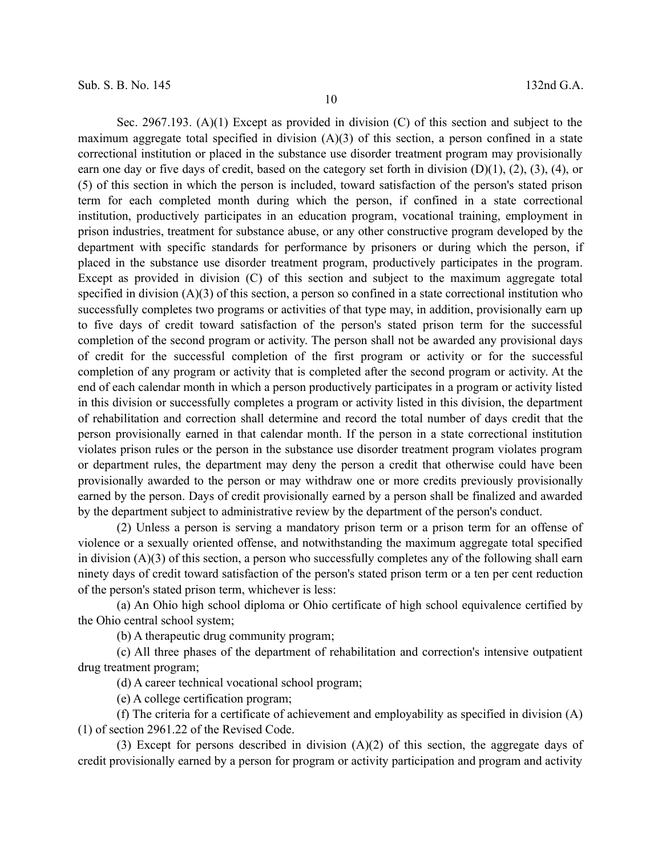Sec. 2967.193. (A)(1) Except as provided in division (C) of this section and subject to the maximum aggregate total specified in division (A)(3) of this section, a person confined in a state correctional institution or placed in the substance use disorder treatment program may provisionally earn one day or five days of credit, based on the category set forth in division  $(D)(1)$ ,  $(2)$ ,  $(3)$ ,  $(4)$ , or (5) of this section in which the person is included, toward satisfaction of the person's stated prison term for each completed month during which the person, if confined in a state correctional institution, productively participates in an education program, vocational training, employment in prison industries, treatment for substance abuse, or any other constructive program developed by the department with specific standards for performance by prisoners or during which the person, if placed in the substance use disorder treatment program, productively participates in the program. Except as provided in division (C) of this section and subject to the maximum aggregate total specified in division (A)(3) of this section, a person so confined in a state correctional institution who successfully completes two programs or activities of that type may, in addition, provisionally earn up to five days of credit toward satisfaction of the person's stated prison term for the successful completion of the second program or activity. The person shall not be awarded any provisional days of credit for the successful completion of the first program or activity or for the successful completion of any program or activity that is completed after the second program or activity. At the end of each calendar month in which a person productively participates in a program or activity listed in this division or successfully completes a program or activity listed in this division, the department of rehabilitation and correction shall determine and record the total number of days credit that the person provisionally earned in that calendar month. If the person in a state correctional institution violates prison rules or the person in the substance use disorder treatment program violates program or department rules, the department may deny the person a credit that otherwise could have been provisionally awarded to the person or may withdraw one or more credits previously provisionally earned by the person. Days of credit provisionally earned by a person shall be finalized and awarded by the department subject to administrative review by the department of the person's conduct.

(2) Unless a person is serving a mandatory prison term or a prison term for an offense of violence or a sexually oriented offense, and notwithstanding the maximum aggregate total specified in division (A)(3) of this section, a person who successfully completes any of the following shall earn ninety days of credit toward satisfaction of the person's stated prison term or a ten per cent reduction of the person's stated prison term, whichever is less:

(a) An Ohio high school diploma or Ohio certificate of high school equivalence certified by the Ohio central school system;

(b) A therapeutic drug community program;

(c) All three phases of the department of rehabilitation and correction's intensive outpatient drug treatment program;

(d) A career technical vocational school program;

(e) A college certification program;

(f) The criteria for a certificate of achievement and employability as specified in division (A) (1) of section 2961.22 of the Revised Code.

(3) Except for persons described in division  $(A)(2)$  of this section, the aggregate days of credit provisionally earned by a person for program or activity participation and program and activity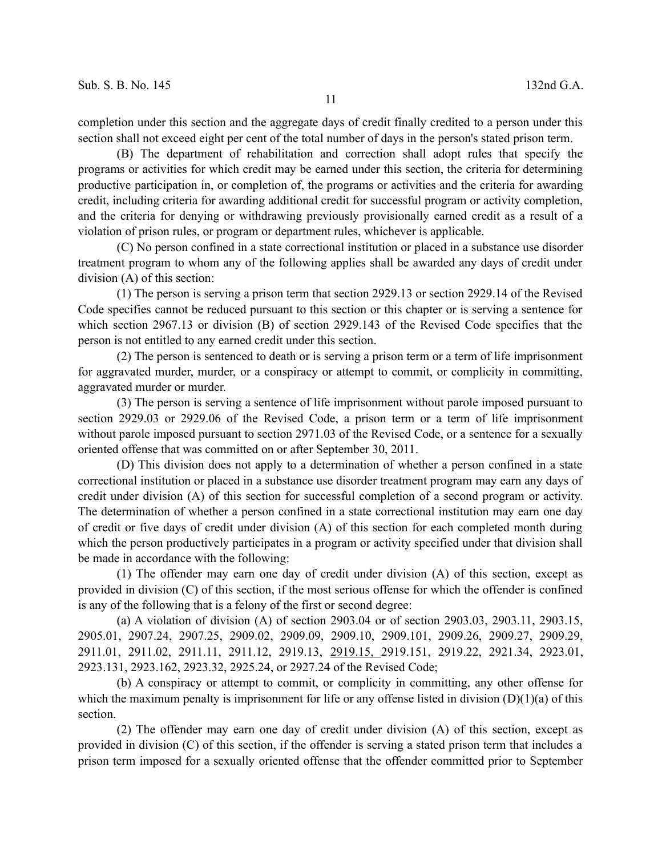completion under this section and the aggregate days of credit finally credited to a person under this section shall not exceed eight per cent of the total number of days in the person's stated prison term.

(B) The department of rehabilitation and correction shall adopt rules that specify the programs or activities for which credit may be earned under this section, the criteria for determining productive participation in, or completion of, the programs or activities and the criteria for awarding credit, including criteria for awarding additional credit for successful program or activity completion, and the criteria for denying or withdrawing previously provisionally earned credit as a result of a violation of prison rules, or program or department rules, whichever is applicable.

(C) No person confined in a state correctional institution or placed in a substance use disorder treatment program to whom any of the following applies shall be awarded any days of credit under division (A) of this section:

(1) The person is serving a prison term that section 2929.13 or section 2929.14 of the Revised Code specifies cannot be reduced pursuant to this section or this chapter or is serving a sentence for which section 2967.13 or division (B) of section 2929.143 of the Revised Code specifies that the person is not entitled to any earned credit under this section.

(2) The person is sentenced to death or is serving a prison term or a term of life imprisonment for aggravated murder, murder, or a conspiracy or attempt to commit, or complicity in committing, aggravated murder or murder.

(3) The person is serving a sentence of life imprisonment without parole imposed pursuant to section 2929.03 or 2929.06 of the Revised Code, a prison term or a term of life imprisonment without parole imposed pursuant to section 2971.03 of the Revised Code, or a sentence for a sexually oriented offense that was committed on or after September 30, 2011.

(D) This division does not apply to a determination of whether a person confined in a state correctional institution or placed in a substance use disorder treatment program may earn any days of credit under division (A) of this section for successful completion of a second program or activity. The determination of whether a person confined in a state correctional institution may earn one day of credit or five days of credit under division (A) of this section for each completed month during which the person productively participates in a program or activity specified under that division shall be made in accordance with the following:

(1) The offender may earn one day of credit under division (A) of this section, except as provided in division (C) of this section, if the most serious offense for which the offender is confined is any of the following that is a felony of the first or second degree:

(a) A violation of division (A) of section 2903.04 or of section 2903.03, 2903.11, 2903.15, 2905.01, 2907.24, 2907.25, 2909.02, 2909.09, 2909.10, 2909.101, 2909.26, 2909.27, 2909.29, 2911.01, 2911.02, 2911.11, 2911.12, 2919.13, 2919.15, 2919.151, 2919.22, 2921.34, 2923.01, 2923.131, 2923.162, 2923.32, 2925.24, or 2927.24 of the Revised Code;

(b) A conspiracy or attempt to commit, or complicity in committing, any other offense for which the maximum penalty is imprisonment for life or any offense listed in division  $(D)(1)(a)$  of this section.

(2) The offender may earn one day of credit under division (A) of this section, except as provided in division (C) of this section, if the offender is serving a stated prison term that includes a prison term imposed for a sexually oriented offense that the offender committed prior to September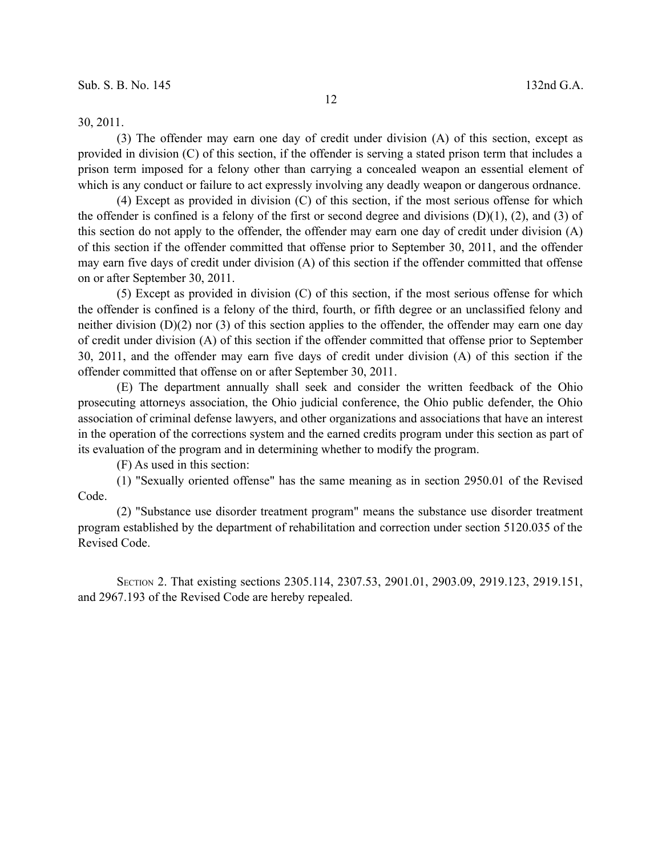30, 2011.

(3) The offender may earn one day of credit under division (A) of this section, except as provided in division (C) of this section, if the offender is serving a stated prison term that includes a prison term imposed for a felony other than carrying a concealed weapon an essential element of which is any conduct or failure to act expressly involving any deadly weapon or dangerous ordnance.

(4) Except as provided in division (C) of this section, if the most serious offense for which the offender is confined is a felony of the first or second degree and divisions  $(D)(1)$ ,  $(2)$ , and  $(3)$  of this section do not apply to the offender, the offender may earn one day of credit under division (A) of this section if the offender committed that offense prior to September 30, 2011, and the offender may earn five days of credit under division (A) of this section if the offender committed that offense on or after September 30, 2011.

(5) Except as provided in division (C) of this section, if the most serious offense for which the offender is confined is a felony of the third, fourth, or fifth degree or an unclassified felony and neither division  $(D)(2)$  nor (3) of this section applies to the offender, the offender may earn one day of credit under division (A) of this section if the offender committed that offense prior to September 30, 2011, and the offender may earn five days of credit under division (A) of this section if the offender committed that offense on or after September 30, 2011.

(E) The department annually shall seek and consider the written feedback of the Ohio prosecuting attorneys association, the Ohio judicial conference, the Ohio public defender, the Ohio association of criminal defense lawyers, and other organizations and associations that have an interest in the operation of the corrections system and the earned credits program under this section as part of its evaluation of the program and in determining whether to modify the program.

(F) As used in this section:

(1) "Sexually oriented offense" has the same meaning as in section 2950.01 of the Revised Code.

(2) "Substance use disorder treatment program" means the substance use disorder treatment program established by the department of rehabilitation and correction under section 5120.035 of the Revised Code.

SECTION 2. That existing sections 2305.114, 2307.53, 2901.01, 2903.09, 2919.123, 2919.151, and 2967.193 of the Revised Code are hereby repealed.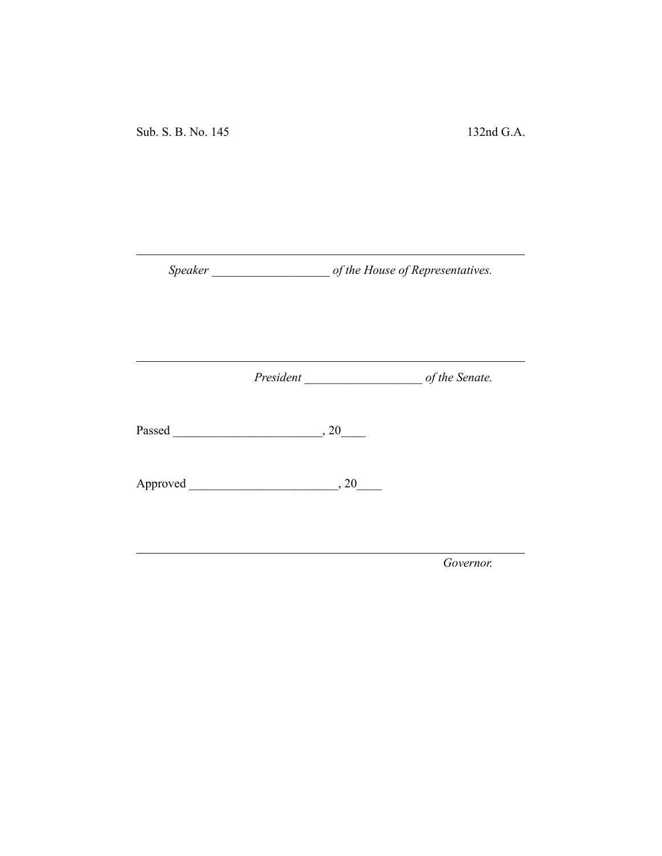Sub. S. B. No. 145 132nd G.A.

*Speaker \_\_\_\_\_\_\_\_\_\_\_\_\_\_\_\_\_\_\_ of the House of Representatives.*

*President \_\_\_\_\_\_\_\_\_\_\_\_\_\_\_\_\_\_\_ of the Senate.*

Passed \_\_\_\_\_\_\_\_\_\_\_\_\_\_\_\_\_\_\_\_\_\_\_\_, 20\_\_\_\_

Approved \_\_\_\_\_\_\_\_\_\_\_\_\_\_\_\_\_\_\_\_\_\_\_\_, 20\_\_\_\_

*Governor.*